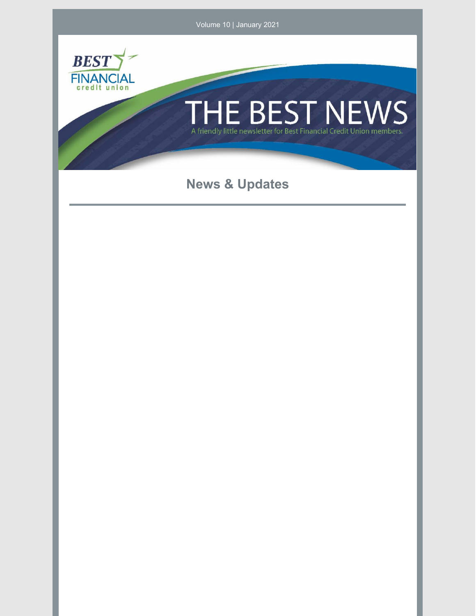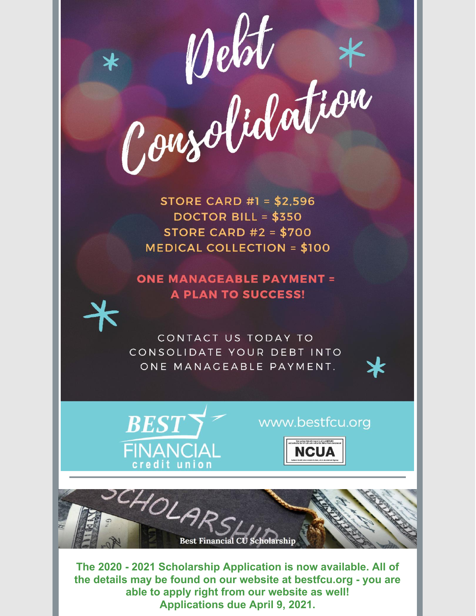

**STORE CARD #1 = \$2,596** DOCTOR BILL =  $$350$ STORE CARD  $#2 = $700$ **MEDICAL COLLECTION = \$100** 

**ONE MANAGEABLE PAYMENT = A PLAN TO SUCCESS!** 

CONTACT US TODAY TO CONSOLIDATE YOUR DEBT INTO ONE MANAGEABLE PAYMENT.



## www.bestfcu.org



SCHOLAR **Best Financial CU Scholarship** 

The 2020 - 2021 Scholarship Application is now available. All of the details may be found on our website at bestfcu.org - you are able to apply right from our website as well! **Applications due April 9, 2021.**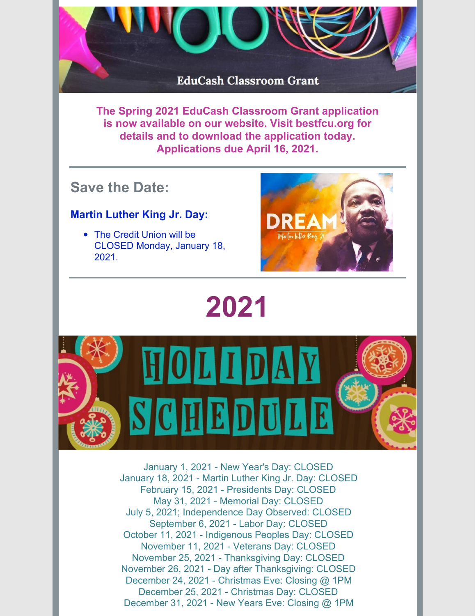

**The Spring 2021 EduCash Classroom Grant application is now available on our website. Visit bestfcu.org for details and to download the application today. Applications due April 16, 2021.**

## **Save the Date:**

## **Martin Luther King Jr. Day:**

• The Credit Union will be CLOSED Monday, January 18, 2021.



## **2021**



January 1, 2021 - New Year's Day: CLOSED January 18, 2021 - Martin Luther King Jr. Day: CLOSED February 15, 2021 - Presidents Day: CLOSED May 31, 2021 - Memorial Day: CLOSED July 5, 2021; Independence Day Observed: CLOSED September 6, 2021 - Labor Day: CLOSED October 11, 2021 - Indigenous Peoples Day: CLOSED November 11, 2021 - Veterans Day: CLOSED November 25, 2021 - Thanksgiving Day: CLOSED November 26, 2021 - Day after Thanksgiving: CLOSED December 24, 2021 - Christmas Eve: Closing @ 1PM December 25, 2021 - Christmas Day: CLOSED December 31, 2021 - New Years Eve: Closing @ 1PM